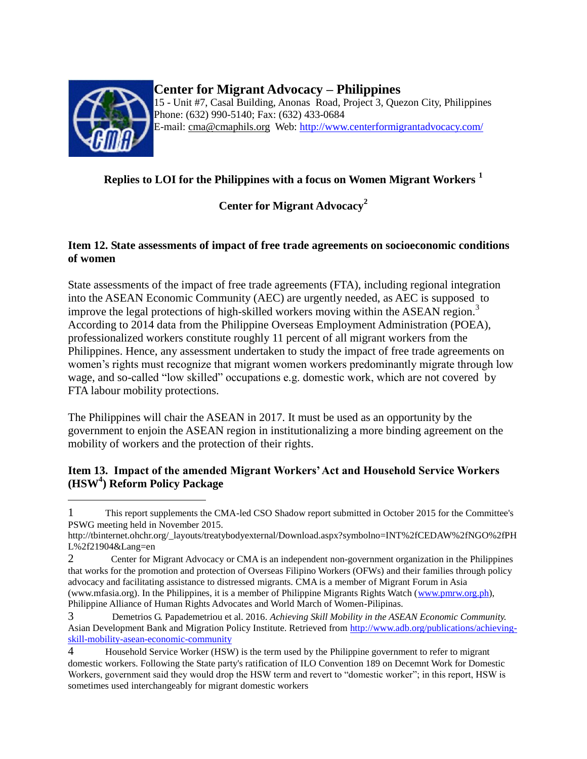

 $\overline{a}$ 

# **Center for Migrant Advocacy – Philippines**

15 - Unit #7, Casal Building, Anonas Road, Project 3, Quezon City, Philippines Phone: (632) 990-5140; Fax: (632) 433-0684 E-mail: [cma@cmaphils.org](mailto:cma@cmaphils.org) Web: [http://www.centerformigrantadvocacy.com/](http://www.pinoy-abroad.net/lungga/index.shtml?apc=----1-)

## **Replies to LOI for the Philippines with a focus on Women Migrant Workers <sup>1</sup>**

**Center for Migrant Advocacy<sup>2</sup>**

### **Item 12. State assessments of impact of free trade agreements on socioeconomic conditions of women**

State assessments of the impact of free trade agreements (FTA), including regional integration into the ASEAN Economic Community (AEC) are urgently needed, as AEC is supposed to improve the legal protections of high-skilled workers moving within the ASEAN region.<sup>3</sup> According to 2014 data from the Philippine Overseas Employment Administration (POEA), professionalized workers constitute roughly 11 percent of all migrant workers from the Philippines. Hence, any assessment undertaken to study the impact of free trade agreements on women's rights must recognize that migrant women workers predominantly migrate through low wage, and so-called "low skilled" occupations e.g. domestic work, which are not covered by FTA labour mobility protections.

The Philippines will chair the ASEAN in 2017. It must be used as an opportunity by the government to enjoin the ASEAN region in institutionalizing a more binding agreement on the mobility of workers and the protection of their rights.

### **Item 13. Impact of the amended Migrant Workers' Act and Household Service Workers (HSW<sup>4</sup> ) Reform Policy Package**

<sup>1</sup> This report supplements the CMA-led CSO Shadow report submitted in October 2015 for the Committee's PSWG meeting held in November 2015.

http://tbinternet.ohchr.org/\_layouts/treatybodyexternal/Download.aspx?symbolno=INT%2fCEDAW%2fNGO%2fPH L%2f21904&Lang=en

<sup>2</sup> Center for Migrant Advocacy or CMA is an independent non-government organization in the Philippines that works for the promotion and protection of Overseas Filipino Workers (OFWs) and their families through policy advocacy and facilitating assistance to distressed migrants. CMA is a member of Migrant Forum in Asia (www.mfasia.org). In the Philippines, it is a member of Philippine Migrants Rights Watch [\(www.pmrw.org.ph\)](http://www.pmrw.org.ph/), Philippine Alliance of Human Rights Advocates and World March of Women-Pilipinas.

<sup>3</sup> Demetrios G. Papademetriou et al. 2016. *Achieving Skill Mobility in the ASEAN Economic Community.*  Asian Development Bank and Migration Policy Institute. Retrieved from [http://www.adb.org/publications/achieving](http://www.adb.org/publications/achieving-skill-mobility-asean-economic-community)[skill-mobility-asean-economic-community](http://www.adb.org/publications/achieving-skill-mobility-asean-economic-community)

<sup>4</sup> Household Service Worker (HSW) is the term used by the Philippine government to refer to migrant domestic workers. Following the State party's ratification of ILO Convention 189 on Decemnt Work for Domestic Workers, government said they would drop the HSW term and revert to "domestic worker"; in this report, HSW is sometimes used interchangeably for migrant domestic workers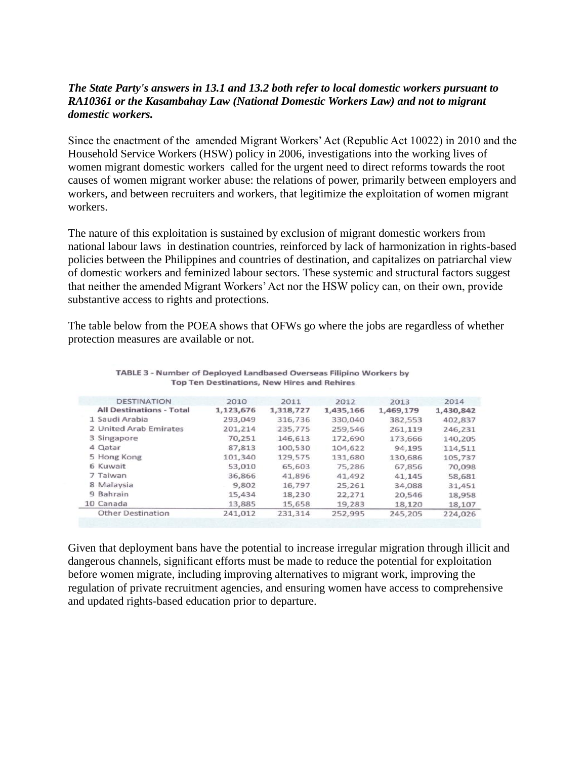### *The State Party's answers in 13.1 and 13.2 both refer to local domestic workers pursuant to RA10361 or the Kasambahay Law (National Domestic Workers Law) and not to migrant domestic workers.*

Since the enactment of the amended Migrant Workers' Act (Republic Act 10022) in 2010 and the Household Service Workers (HSW) policy in 2006, investigations into the working lives of women migrant domestic workers called for the urgent need to direct reforms towards the root causes of women migrant worker abuse: the relations of power, primarily between employers and workers, and between recruiters and workers, that legitimize the exploitation of women migrant workers.

The nature of this exploitation is sustained by exclusion of migrant domestic workers from national labour laws in destination countries, reinforced by lack of harmonization in rights-based policies between the Philippines and countries of destination, and capitalizes on patriarchal view of domestic workers and feminized labour sectors. These systemic and structural factors suggest that neither the amended Migrant Workers' Act nor the HSW policy can, on their own, provide substantive access to rights and protections.

The table below from the POEA shows that OFWs go where the jobs are regardless of whether protection measures are available or not.

| <b>DESTINATION</b>              | 2010      | 2011      | 2012      | 2013      | 2014      |
|---------------------------------|-----------|-----------|-----------|-----------|-----------|
| <b>All Destinations - Total</b> | 1,123,676 | 1,318,727 | 1,435,166 | 1,469,179 | 1,430,842 |
| 1 Saudi Arabia                  | 293,049   | 316,736   | 330,040   | 382,553   | 402,837   |
| 2 United Arab Emirates          | 201.214   | 235,775   | 259,546   | 261,119   | 246,231   |
| 3 Singapore                     | 70,251    | 146,613   | 172,690   | 173,666   | 140,205   |
| 4 Qatar                         | 87,813    | 100,530   | 104,622   | 94,195    | 114,511   |
| 5 Hong Kong                     | 101,340   | 129,575   | 131,680   | 130,686   | 105,737   |
| 6 Kuwait                        | 53,010    | 65,603    | 75,286    | 67,856    | 70,098    |
| 7 Taiwan                        | 36,866    | 41,896    | 41,492    | 41,145    | 58,681    |
| 8 Malaysia                      | 9,802     | 16,797    | 25,261    | 34,088    | 31,451    |
| 9 Bahrain                       | 15,434    | 18,230    | 22,271    | 20,546    | 18,958    |
| 10 Canada                       | 13,885    | 15,658    | 19,283    | 18,120    | 18,107    |
| <b>Other Destination</b>        | 241,012   | 231,314   | 252,995   | 245,205   | 224,026   |
|                                 |           |           |           |           |           |

TABLE 3 - Number of Deployed Landbased Overseas Filipino Workers by **Top Ten Destinations, New Hires and Rehires** 

Given that deployment bans have the potential to increase irregular migration through illicit and dangerous channels, significant efforts must be made to reduce the potential for exploitation before women migrate, including improving alternatives to migrant work, improving the regulation of private recruitment agencies, and ensuring women have access to comprehensive and updated rights-based education prior to departure.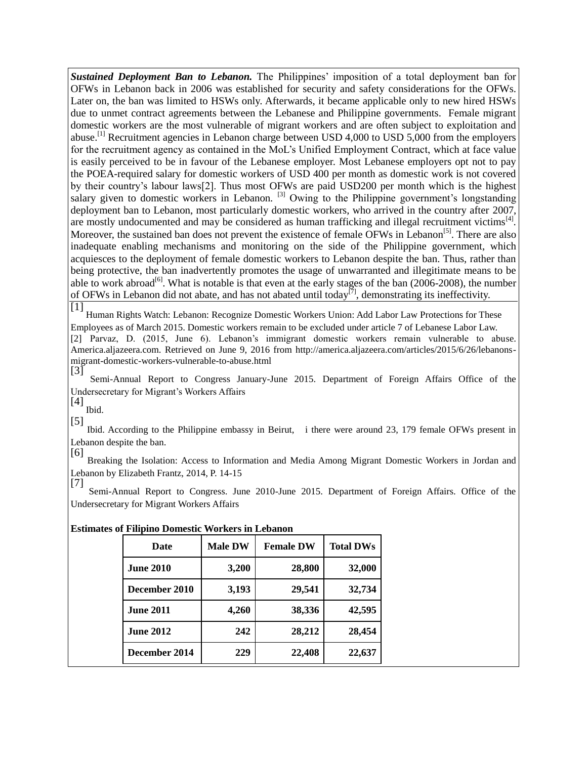*Sustained Deployment Ban to Lebanon.* The Philippines' imposition of a total deployment ban for OFWs in Lebanon back in 2006 was established for security and safety considerations for the OFWs. Later on, the ban was limited to HSWs only. Afterwards, it became applicable only to new hired HSWs due to unmet contract agreements between the Lebanese and Philippine governments. Female migrant domestic workers are the most vulnerable of migrant workers and are often subject to exploitation and abuse.<sup>[1]</sup> Recruitment agencies in Lebanon charge between USD 4,000 to USD 5,000 from the employers for the recruitment agency as contained in the MoL's Unified Employment Contract, which at face value is easily perceived to be in favour of the Lebanese employer. Most Lebanese employers opt not to pay the POEA-required salary for domestic workers of USD 400 per month as domestic work is not covered by their country's labour laws[2]. Thus most OFWs are paid USD200 per month which is the highest salary given to domestic workers in Lebanon.  $^{[3]}$  Owing to the Philippine government's longstanding deployment ban to Lebanon, most particularly domestic workers, who arrived in the country after 2007, are mostly undocumented and may be considered as human trafficking and illegal recruitment victims<sup>[4]</sup>. Moreover, the sustained ban does not prevent the existence of female OFWs in Lebanon<sup>[5]</sup>. There are also inadequate enabling mechanisms and monitoring on the side of the Philippine government, which acquiesces to the deployment of female domestic workers to Lebanon despite the ban. Thus, rather than being protective, the ban inadvertently promotes the usage of unwarranted and illegitimate means to be able to work abroad<sup>[6]</sup>. What is notable is that even at the early stages of the ban (2006-2008), the number of OFWs in Lebanon did not abate, and has not abated until today<sup>[7]</sup>, demonstrating its ineffectivity.

[1] Human Rights Watch: Lebanon: Recognize Domestic Workers Union: Add Labor Law Protections for These Employees as of March 2015. Domestic workers remain to be excluded under article 7 of Lebanese Labor Law. [2] Parvaz, D. (2015, June 6). Lebanon's immigrant domestic workers remain vulnerable to abuse.

America.aljazeera.com. Retrieved on June 9, 2016 from http://america.aljazeera.com/articles/2015/6/26/lebanonsmigrant-domestic-workers-vulnerable-to-abuse.html [3]

Semi-Annual Report to Congress January-June 2015. Department of Foreign Affairs Office of the Undersecretary for Migrant's Workers Affairs

[4] Ibid.

[5] Ibid. According to the Philippine embassy in Beirut, i there were around 23, 179 female OFWs present in Lebanon despite the ban.

[6] Breaking the Isolation: Access to Information and Media Among Migrant Domestic Workers in Jordan and Lebanon by Elizabeth Frantz, 2014, P. 14-15

[7] Semi-Annual Report to Congress. June 2010-June 2015. Department of Foreign Affairs. Office of the Undersecretary for Migrant Workers Affairs

| <b>Date</b>      | <b>Male DW</b> | <b>Female DW</b> | <b>Total DWs</b> |  |
|------------------|----------------|------------------|------------------|--|
| <b>June 2010</b> | 3,200          | 28,800           | 32,000           |  |
| December 2010    | 3,193          | 29,541           | 32,734           |  |
| <b>June 2011</b> | 4,260          | 38,336           | 42,595           |  |
| <b>June 2012</b> | 242            | 28,212           | 28,454           |  |
| December 2014    | 229            | 22,408           | 22,637           |  |

#### **Estimates of Filipino Domestic Workers in Lebanon**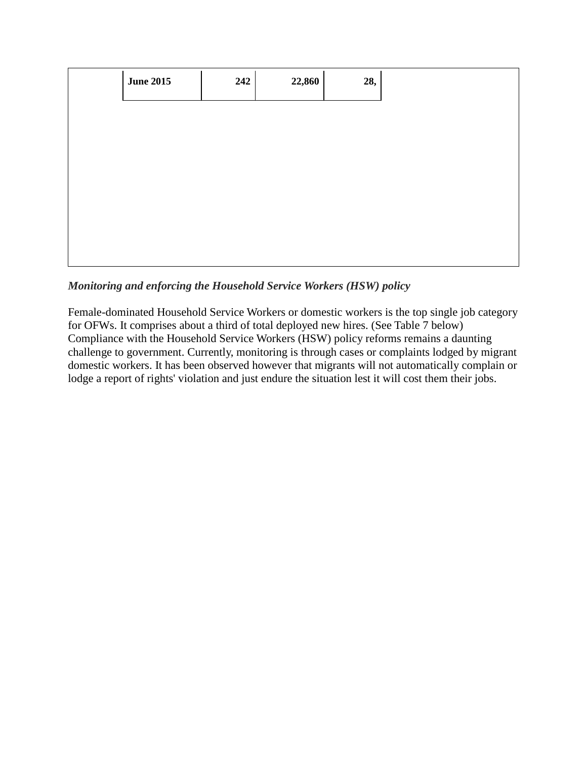| <b>June 2015</b><br>22,860<br>242<br>28, |
|------------------------------------------|
|                                          |
|                                          |
|                                          |
|                                          |
|                                          |

*Monitoring and enforcing the Household Service Workers (HSW) policy*

Female-dominated Household Service Workers or domestic workers is the top single job category for OFWs. It comprises about a third of total deployed new hires. (See Table 7 below) Compliance with the Household Service Workers (HSW) policy reforms remains a daunting challenge to government. Currently, monitoring is through cases or complaints lodged by migrant domestic workers. It has been observed however that migrants will not automatically complain or lodge a report of rights' violation and just endure the situation lest it will cost them their jobs.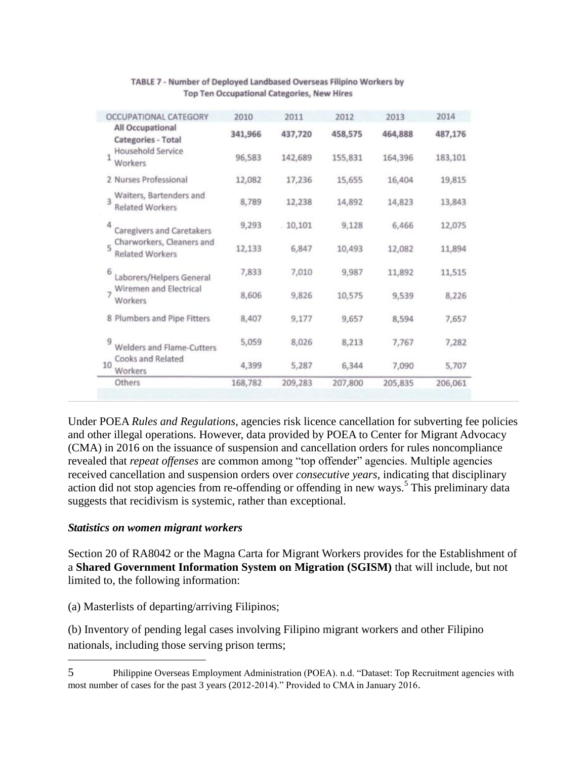|    | Others                                              | 168,782 | 209,283 | 207,800 | 205,835 | 206,061 |
|----|-----------------------------------------------------|---------|---------|---------|---------|---------|
| 10 | Cooks and Related<br>Workers                        | 4,399   | 5,287   | 6,344   | 7,090   | 5,707   |
| 9  | Welders and Flame-Cutters                           | 5,059   | 8,026   | 8,213   | 7,767   | 7,282   |
|    | 8 Plumbers and Pipe Fitters                         | 8,407   | 9,177   | 9,657   | 8,594   | 7,657   |
|    | Wiremen and Electrical<br>Workers                   | 8,606   | 9,826   | 10,575  | 9,539   | 8,226   |
| 6  | Laborers/Helpers General                            | 7,833   | 7,010   | 9,987   | 11,892  | 11,515  |
|    | Charworkers, Cleaners and<br><b>Related Workers</b> | 12,133  | 6,847   | 10,493  | 12,082  | 11,894  |
| 4  | Caregivers and Caretakers                           | 9,293   | 10,101  | 9,128   | 6,466   | 12,075  |
| ą  | Waiters, Bartenders and<br><b>Related Workers</b>   | 8,789   | 12,238  | 14,892  | 14,823  | 13,843  |
|    | 2 Nurses Professional                               | 12,082  | 17,236  | 15,655  | 16,404  | 19,815  |
| 1  | Household Service<br>Workers                        | 96,583  | 142,689 | 155,831 | 164,396 | 183,101 |
|    | All Occupational<br>Categories - Total              | 341,966 | 437,720 | 458,575 | 464,888 | 487,176 |
|    | <b>OCCUPATIONAL CATEGORY</b>                        | 2010    | 2011    | 2012    | 2013    | 2014    |

#### TABLE 7 - Number of Deployed Landbased Overseas Filipino Workers by Top Ten Occupational Categories, New Hires

Under POEA *Rules and Regulations*, agencies risk licence cancellation for subverting fee policies and other illegal operations. However, data provided by POEA to Center for Migrant Advocacy (CMA) in 2016 on the issuance of suspension and cancellation orders for rules noncompliance revealed that *repeat offenses* are common among "top offender" agencies. Multiple agencies received cancellation and suspension orders over *consecutive years*, indicating that disciplinary action did not stop agencies from re-offending or offending in new ways.<sup>5</sup> This preliminary data suggests that recidivism is systemic, rather than exceptional.

#### *Statistics on women migrant workers*

 $\overline{a}$ 

Section 20 of RA8042 or the Magna Carta for Migrant Workers provides for the Establishment of a **Shared Government Information System on Migration (SGISM)** that will include, but not limited to, the following information:

(a) Masterlists of departing/arriving Filipinos;

(b) Inventory of pending legal cases involving Filipino migrant workers and other Filipino nationals, including those serving prison terms;

<sup>5</sup> Philippine Overseas Employment Administration (POEA). n.d. "Dataset: Top Recruitment agencies with most number of cases for the past 3 years (2012-2014)." Provided to CMA in January 2016.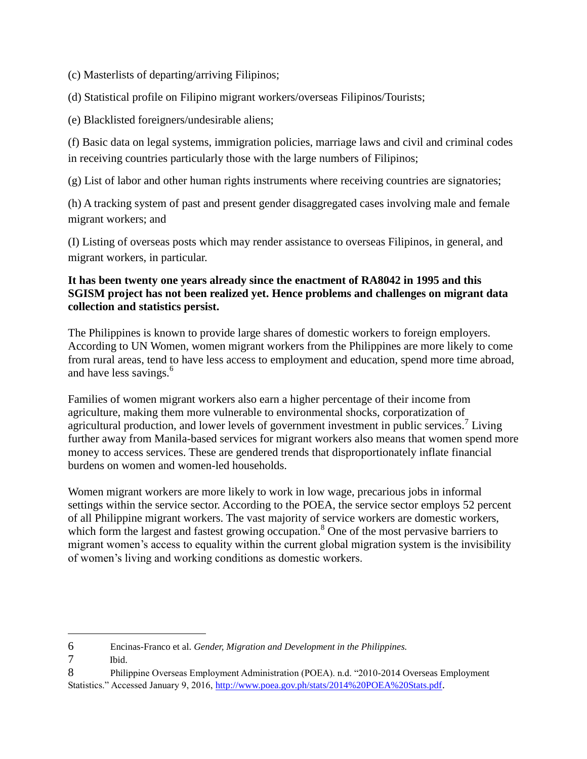(c) Masterlists of departing/arriving Filipinos;

(d) Statistical profile on Filipino migrant workers/overseas Filipinos/Tourists;

(e) Blacklisted foreigners/undesirable aliens;

(f) Basic data on legal systems, immigration policies, marriage laws and civil and criminal codes in receiving countries particularly those with the large numbers of Filipinos;

(g) List of labor and other human rights instruments where receiving countries are signatories;

(h) A tracking system of past and present gender disaggregated cases involving male and female migrant workers; and

(I) Listing of overseas posts which may render assistance to overseas Filipinos, in general, and migrant workers, in particular.

### **It has been twenty one years already since the enactment of RA8042 in 1995 and this SGISM project has not been realized yet. Hence problems and challenges on migrant data collection and statistics persist.**

The Philippines is known to provide large shares of domestic workers to foreign employers. According to UN Women, women migrant workers from the Philippines are more likely to come from rural areas, tend to have less access to employment and education, spend more time abroad, and have less savings.<sup>6</sup>

Families of women migrant workers also earn a higher percentage of their income from agriculture, making them more vulnerable to environmental shocks, corporatization of agricultural production, and lower levels of government investment in public services.<sup>7</sup> Living further away from Manila-based services for migrant workers also means that women spend more money to access services. These are gendered trends that disproportionately inflate financial burdens on women and women-led households.

Women migrant workers are more likely to work in low wage, precarious jobs in informal settings within the service sector. According to the POEA, the service sector employs 52 percent of all Philippine migrant workers. The vast majority of service workers are domestic workers, which form the largest and fastest growing occupation.<sup>8</sup> One of the most pervasive barriers to migrant women's access to equality within the current global migration system is the invisibility of women's living and working conditions as domestic workers.

 $\overline{a}$ 

<sup>6</sup> Encinas-Franco et al. *Gender, Migration and Development in the Philippines.*

<sup>7</sup> Ibid.

<sup>8</sup> Philippine Overseas Employment Administration (POEA). n.d. "2010-2014 Overseas Employment Statistics." Accessed January 9, 2016[, http://www.poea.gov.ph/stats/2014%20POEA%20Stats.pdf](http://www.poea.gov.ph/stats/2014%20POEA%20Stats.pdf).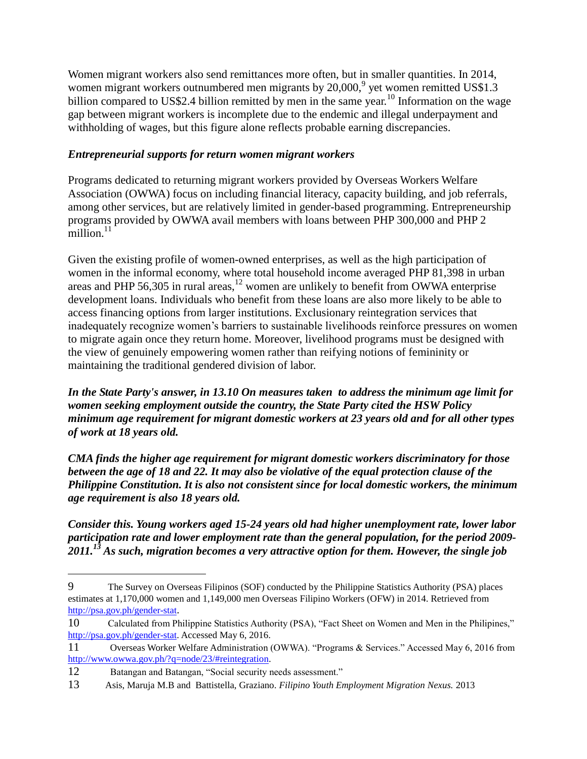Women migrant workers also send remittances more often, but in smaller quantities. In 2014, women migrant workers outnumbered men migrants by  $20,000$ ,  $9$  yet women remitted US\$1.3 billion compared to US\$2.4 billion remitted by men in the same year.<sup>10</sup> Information on the wage gap between migrant workers is incomplete due to the endemic and illegal underpayment and withholding of wages, but this figure alone reflects probable earning discrepancies.

### *Entrepreneurial supports for return women migrant workers*

Programs dedicated to returning migrant workers provided by Overseas Workers Welfare Association (OWWA) focus on including financial literacy, capacity building, and job referrals, among other services, but are relatively limited in gender-based programming. Entrepreneurship programs provided by OWWA avail members with loans between PHP 300,000 and PHP 2  $m$ illion.<sup>11</sup>

Given the existing profile of women-owned enterprises, as well as the high participation of women in the informal economy, where total household income averaged PHP 81,398 in urban areas and PHP 56,305 in rural areas,  $12$  women are unlikely to benefit from OWWA enterprise development loans. Individuals who benefit from these loans are also more likely to be able to access financing options from larger institutions. Exclusionary reintegration services that inadequately recognize women's barriers to sustainable livelihoods reinforce pressures on women to migrate again once they return home. Moreover, livelihood programs must be designed with the view of genuinely empowering women rather than reifying notions of femininity or maintaining the traditional gendered division of labor.

*In the State Party's answer, in 13.10 On measures taken to address the minimum age limit for women seeking employment outside the country, the State Party cited the HSW Policy minimum age requirement for migrant domestic workers at 23 years old and for all other types of work at 18 years old.* 

*CMA finds the higher age requirement for migrant domestic workers discriminatory for those between the age of 18 and 22. It may also be violative of the equal protection clause of the Philippine Constitution. It is also not consistent since for local domestic workers, the minimum age requirement is also 18 years old.* 

*Consider this. Young workers aged 15-24 years old had higher unemployment rate, lower labor participation rate and lower employment rate than the general population, for the period 2009- 2011.<sup>13</sup> As such, migration becomes a very attractive option for them. However, the single job* 

 $\overline{a}$ 

<sup>9</sup> The Survey on Overseas Filipinos (SOF) conducted by the Philippine Statistics Authority (PSA) places estimates at 1,170,000 women and 1,149,000 men Overseas Filipino Workers (OFW) in 2014. Retrieved from <http://psa.gov.ph/gender-stat>.

<sup>10</sup> Calculated from Philippine Statistics Authority (PSA), "Fact Sheet on Women and Men in the Philipines," [http://psa.gov.ph/gender-stat.](http://psa.gov.ph/gender-stat) Accessed May 6, 2016.

<sup>11</sup> Overseas Worker Welfare Administration (OWWA). "Programs & Services." Accessed May 6, 2016 from [http://www.owwa.gov.ph/?q=node/23/#reintegration.](http://www.owwa.gov.ph/?q=node/23/#reintegration)

<sup>12</sup> Batangan and Batangan, "Social security needs assessment."

<sup>13</sup> Asis, Maruja M.B and Battistella, Graziano. *Filipino Youth Employment Migration Nexus.* 2013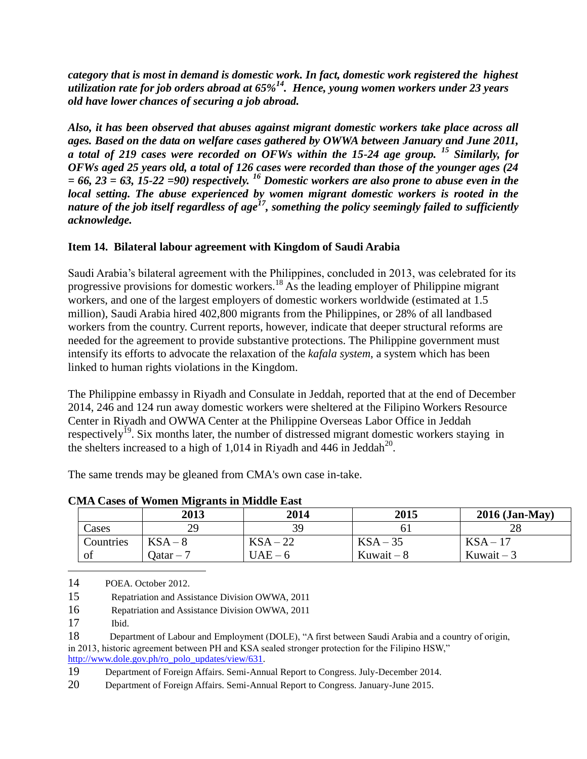*category that is most in demand is domestic work. In fact, domestic work registered the highest utilization rate for job orders abroad at 65%<sup>14</sup> . Hence, young women workers under 23 years old have lower chances of securing a job abroad.* 

*Also, it has been observed that abuses against migrant domestic workers take place across all ages. Based on the data on welfare cases gathered by OWWA between January and June 2011, a total of 219 cases were recorded on OFWs within the 15-24 age group. <sup>15</sup> Similarly, for OFWs aged 25 years old, a total of 126 cases were recorded than those of the younger ages (24 = 66, 23 = 63, 15-22 =90) respectively. <sup>16</sup> Domestic workers are also prone to abuse even in the local setting. The abuse experienced by women migrant domestic workers is rooted in the nature of the job itself regardless of age<sup>17</sup>, something the policy seemingly failed to sufficiently acknowledge.*

### **Item 14. Bilateral labour agreement with Kingdom of Saudi Arabia**

Saudi Arabia's bilateral agreement with the Philippines, concluded in 2013, was celebrated for its progressive provisions for domestic workers.<sup>18</sup> As the leading employer of Philippine migrant workers, and one of the largest employers of domestic workers worldwide (estimated at 1.5 million), Saudi Arabia hired 402,800 migrants from the Philippines, or 28% of all landbased workers from the country. Current reports, however, indicate that deeper structural reforms are needed for the agreement to provide substantive protections. The Philippine government must intensify its efforts to advocate the relaxation of the *kafala system*, a system which has been linked to human rights violations in the Kingdom.

The Philippine embassy in Riyadh and Consulate in Jeddah, reported that at the end of December 2014, 246 and 124 run away domestic workers were sheltered at the Filipino Workers Resource Center in Riyadh and OWWA Center at the Philippine Overseas Labor Office in Jeddah respectively<sup>19</sup>. Six months later, the number of distressed migrant domestic workers staying in the shelters increased to a high of 1,014 in Riyadh and 446 in Jeddah<sup>20</sup>.

The same trends may be gleaned from CMA's own case in-take.

**CMA Cases of Women Migrants in Middle East**

|           | 2013      | 2014     | 2015        | $2016$ (Jan-May) |
|-----------|-----------|----------|-------------|------------------|
| Cases     | 29        | 39       | 01          |                  |
| Countries | $KSA-8$   | $KSA-22$ | $KSA-35$    | $KSA-17$         |
| of        | Datar – 7 | $UAE-6$  | Kuwait $-8$ | Kuwait $-3$      |

14 POEA. October 2012.

15 Repatriation and Assistance Division OWWA, 2011

16 Repatriation and Assistance Division OWWA, 2011

17 Ibid.

 $\overline{a}$ 

18 Department of Labour and Employment (DOLE), "A first between Saudi Arabia and a country of origin, in 2013, historic agreement between PH and KSA sealed stronger protection for the Filipino HSW," [http://www.dole.gov.ph/ro\\_polo\\_updates/view/631.](http://www.dole.gov.ph/ro_polo_updates/view/631)

19 Department of Foreign Affairs. Semi-Annual Report to Congress. July-December 2014.

20 Department of Foreign Affairs. Semi-Annual Report to Congress. January-June 2015.